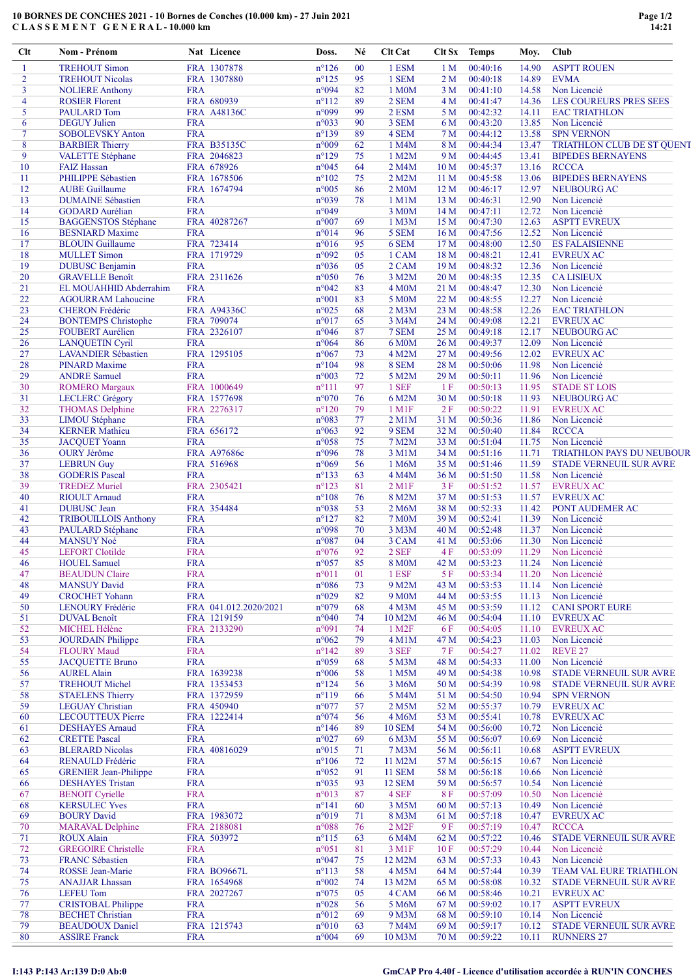## 10 BORNES DE CONCHES 2021 - 10 Bornes de Conches (10.000 km) - 27 Juin 2021 C L A S S E M E N T G E N E R A L - 10.000 km

| $Cl$ t   | Nom - Prénom                                          |                          | Nat Licence               | Doss.                            | Né       | <b>Clt Cat</b>                    | Clt Sx                  | <b>Temps</b>         | Moy.           | Club                                           |
|----------|-------------------------------------------------------|--------------------------|---------------------------|----------------------------------|----------|-----------------------------------|-------------------------|----------------------|----------------|------------------------------------------------|
| 1        | <b>TREHOUT Simon</b>                                  |                          | FRA 1307878               | $n^{\circ}126$                   | 00       | 1 ESM                             | 1 <sub>M</sub>          | 00:40:16             | 14.90          | <b>ASPTT ROUEN</b>                             |
| 2        | <b>TREHOUT Nicolas</b>                                |                          | FRA 1307880               | $n^{\circ}125$                   | 95       | 1 SEM                             | 2 M                     | 00:40:18             | 14.89          | <b>EVMA</b>                                    |
| 3        | <b>NOLIERE Anthony</b>                                | <b>FRA</b>               |                           | n°094                            | 82       | 1 M0M                             | 3 M                     | 00:41:10             | 14.58          | Non Licencié                                   |
| 4        | <b>ROSIER Florent</b>                                 |                          | FRA 680939                | $n^{\circ}112$                   | 89       | 2 SEM                             | 4 M                     | 00:41:47             | 14.36          | LES COUREURS PRES SEES                         |
| 5<br>6   | <b>PAULARD</b> Tom<br><b>DEGUY</b> Julien             | <b>FRA</b>               | FRA A48136C               | n°099<br>$n^{\circ}033$          | 99<br>90 | 2 ESM<br>3 SEM                    | 5 M<br>6 M              | 00:42:32<br>00:43:20 | 14.11<br>13.85 | <b>EAC TRIATHLON</b><br>Non Licencié           |
| $\tau$   | <b>SOBOLEVSKY Anton</b>                               | <b>FRA</b>               |                           | $n^{\circ}139$                   | 89       | 4 SEM                             | 7 M                     | 00:44:12             | 13.58          | <b>SPN VERNON</b>                              |
| 8        | <b>BARBIER Thierry</b>                                |                          | <b>FRA B35135C</b>        | n°009                            | 62       | 1 M4M                             | 8 M                     | 00:44:34             | 13.47          | TRIATHLON CLUB DE ST QUENT                     |
| 9        | VALETTE Stéphane                                      |                          | FRA 2046823               | $n^{\circ}129$                   | 75       | 1 M2M                             | 9 M                     | 00:44:45             | 13.41          | <b>BIPEDES BERNAYENS</b>                       |
| 10       | <b>FAIZ Hassan</b>                                    |                          | FRA 678926                | n°045                            | 64       | 2 M4M                             | 10 <sub>M</sub>         | 00:45:37             | 13.16          | <b>RCCCA</b>                                   |
| 11       | PHILIPPE Sébastien                                    |                          | FRA 1678506               | $n^{\circ}102$                   | 75       | 2 M2M                             | 11 <sub>M</sub>         | 00:45:58             | 13.06          | <b>BIPEDES BERNAYENS</b>                       |
| 12       | <b>AUBE Guillaume</b>                                 |                          | FRA 1674794               | n°005                            | 86       | 2 M <sub>0</sub> M                | 12M                     | 00:46:17             | 12.97          | <b>NEUBOURG AC</b>                             |
| 13       | <b>DUMAINE Sébastien</b>                              | <b>FRA</b>               |                           | n°039                            | 78       | 1 M1M                             | 13 M                    | 00:46:31             | 12.90          | Non Licencié                                   |
| 14       | <b>GODARD</b> Aurélian                                | <b>FRA</b>               |                           | n°049                            |          | 3 M0M                             | 14 M                    | 00:47:11             | 12.72          | Non Licencié                                   |
| 15<br>16 | <b>BAGGENSTOS Stéphane</b><br><b>BESNIARD Maxime</b>  | <b>FRA</b>               | FRA 40287267              | $n^{\circ}007$<br>n°014          | 69<br>96 | 1 M3M<br>5 SEM                    | 15 M<br>16 <sub>M</sub> | 00:47:30<br>00:47:56 | 12.63<br>12.52 | <b>ASPTT EVREUX</b><br>Non Licencié            |
| 17       | <b>BLOUIN</b> Guillaume                               |                          | FRA 723414                | $n^{\circ}016$                   | 95       | 6 SEM                             | 17 M                    | 00:48:00             | 12.50          | <b>ES FALAISIENNE</b>                          |
| 18       | <b>MULLET</b> Simon                                   |                          | FRA 1719729               | n°092                            | 05       | 1 CAM                             | 18 M                    | 00:48:21             | 12.41          | <b>EVREUX AC</b>                               |
| 19       | <b>DUBUSC Benjamin</b>                                | <b>FRA</b>               |                           | n°036                            | 05       | 2 CAM                             | 19 M                    | 00:48:32             | 12.36          | Non Licencié                                   |
| 20       | <b>GRAVELLE Benoît</b>                                |                          | FRA 2311626               | n°050                            | 76       | 3 M2M                             | 20M                     | 00:48:35             | 12.35          | <b>CA LISIEUX</b>                              |
| 21       | EL MOUAHHID Abderrahim                                | <b>FRA</b>               |                           | n°042                            | 83       | <b>4 M0M</b>                      | 21 M                    | 00:48:47             | 12.30          | Non Licencié                                   |
| 22       | <b>AGOURRAM Lahoucine</b>                             | <b>FRA</b>               |                           | $n^{\circ}001$                   | 83       | 5 M0M                             | 22 M                    | 00:48:55             | 12.27          | Non Licencié                                   |
| 23       | <b>CHERON</b> Frédéric                                |                          | FRA A94336C               | n°025                            | 68       | $2$ M $3$ M                       | 23 M                    | 00:48:58             | 12.26          | <b>EAC TRIATHLON</b>                           |
| 24<br>25 | <b>BONTEMPS Christophe</b><br><b>FOUBERT Aurélien</b> |                          | FRA 709074<br>FRA 2326107 | n°017<br>n°046                   | 65<br>87 | 3 M4M<br>7 SEM                    | 24 M<br>25 M            | 00:49:08<br>00:49:18 | 12.21<br>12.17 | <b>EVREUX AC</b><br><b>NEUBOURG AC</b>         |
| 26       | <b>LANQUETIN Cyril</b>                                | <b>FRA</b>               |                           | n°064                            | 86       | 6 M0M                             | 26 M                    | 00:49:37             | 12.09          | Non Licencié                                   |
| 27       | <b>LAVANDIER Sébastien</b>                            |                          | FRA 1295105               | $n^{\circ}067$                   | 73       | 4 M2M                             | 27 M                    | 00:49:56             | 12.02          | <b>EVREUX AC</b>                               |
| 28       | <b>PINARD Maxime</b>                                  | <b>FRA</b>               |                           | $n^{\circ}104$                   | 98       | 8 SEM                             | 28 M                    | 00:50:06             | 11.98          | Non Licencié                                   |
| 29       | <b>ANDRE Samuel</b>                                   | <b>FRA</b>               |                           | n°003                            | 72       | 5 M2M                             | 29 M                    | 00:50:11             | 11.96          | Non Licencié                                   |
| 30       | <b>ROMERO</b> Margaux                                 |                          | FRA 1000649               | $n^{\circ}111$                   | 97       | 1 SEF                             | 1F                      | 00:50:13             | 11.95          | <b>STADE ST LOIS</b>                           |
| 31       | <b>LECLERC</b> Grégory                                |                          | FRA 1577698               | n°070                            | 76       | 6 M2M                             | 30 M                    | 00:50:18             | 11.93          | NEUBOURG AC                                    |
| 32       | <b>THOMAS Delphine</b>                                |                          | FRA 2276317               | $n^{\circ}120$                   | 79       | 1 M1F                             | 2F                      | 00:50:22             | 11.91          | <b>EVREUX AC</b>                               |
| 33<br>34 | <b>LIMOU</b> Stéphane<br><b>KERNER Mathieu</b>        | <b>FRA</b>               | FRA 656172                | n°083<br>$n^{\circ}063$          | 77<br>92 | $2$ M $1$ M<br>9 SEM              | 31 M<br>32 M            | 00:50:36<br>00:50:40 | 11.86<br>11.84 | Non Licencié<br><b>RCCCA</b>                   |
| 35       | <b>JACQUET Yoann</b>                                  | <b>FRA</b>               |                           | n°058                            | 75       | 7 M2M                             | 33 M                    | 00:51:04             | 11.75          | Non Licencié                                   |
| 36       | <b>OURY</b> Jérôme                                    |                          | FRA A97686c               | n°096                            | 78       | 3 M1M                             | 34 M                    | 00:51:16             | 11.71          | TRIATHLON PAYS DU NEUBOUR                      |
| 37       | <b>LEBRUN Guy</b>                                     |                          | FRA 516968                | n°069                            | 56       | 1 M6M                             | 35 M                    | 00:51:46             | 11.59          | STADE VERNEUIL SUR AVRE                        |
| 38       | <b>GODERIS Pascal</b>                                 | <b>FRA</b>               |                           | $n^{\circ}133$                   | 63       | 4 M4M                             | 36 M                    | 00:51:50             | 11.58          | Non Licencié                                   |
| 39       | <b>TREDEZ Muriel</b>                                  |                          | FRA 2305421               | $n^{\circ}123$                   | 81       | $2$ M <sub>1</sub> $F$            | 3F                      | 00:51:52             | 11.57          | <b>EVREUX AC</b>                               |
| 40       | <b>RIOULT Arnaud</b>                                  | <b>FRA</b>               |                           | $n^{\circ}108$                   | 76       | 8 M2M                             | 37 M                    | 00:51:53             | 11.57          | <b>EVREUX AC</b>                               |
| 41       | <b>DUBUSC</b> Jean                                    |                          | FRA 354484                | n°038                            | 53       | 2 M6M                             | 38 M                    | 00:52:33             | 11.42          | PONT AUDEMER AC                                |
| 42       | <b>TRIBOUILLOIS Anthony</b>                           | <b>FRA</b>               |                           | $n^{\circ}127$                   | 82       | <b>7 M0M</b>                      | 39 M                    | 00:52:41             | 11.39          | Non Licencié                                   |
| 43<br>44 | PAULARD Stéphane<br><b>MANSUY Noé</b>                 | <b>FRA</b><br><b>FRA</b> |                           | n°098<br>n°087                   | 70<br>04 | 3 M3M<br>3 CAM                    | 40 M<br>41 M            | 00:52:48<br>00:53:06 | 11.37<br>11.30 | Non Licencié<br>Non Licencié                   |
| 45       | <b>LEFORT</b> Clotilde                                | <b>FRA</b>               |                           | n°076                            | 92       | 2 SEF                             | 4F                      | 00:53:09             | 11.29          | Non Licencié                                   |
| 46       | <b>HOUEL Samuel</b>                                   | <b>FRA</b>               |                           | $n^{\circ}057$                   | 85       | <b>8 M0M</b>                      |                         | 42 M 00:53:23        |                | 11.24 Non Licencié                             |
| 47       | <b>BEAUDUN Claire</b>                                 | <b>FRA</b>               |                           | $n^{\circ}011$                   | 01       | 1 ESF                             | 5 F                     | 00:53:34             | 11.20          | Non Licencié                                   |
| 48       | <b>MANSUY David</b>                                   | <b>FRA</b>               |                           | n°086                            | 73       | 9 M2M                             | 43 M                    | 00:53:53             | 11.14          | Non Licencié                                   |
| 49       | <b>CROCHET Yohann</b>                                 | <b>FRA</b>               |                           | n°029                            | 82       | 9 M <sub>0</sub> M                | 44 M                    | 00:53:55             | 11.13          | Non Licencié                                   |
| 50       | LENOURY Frédéric                                      |                          | FRA 041.012.2020/2021     | n°079                            | 68       | 4 M3M                             | 45 M                    | 00:53:59             | 11.12          | <b>CANI SPORT EURE</b>                         |
| 51       | <b>DUVAL Benoît</b>                                   |                          | FRA 1219159               | n°040                            | 74       | 10 M2M                            | 46 M                    | 00:54:04             | 11.10          | <b>EVREUX AC</b>                               |
| 52<br>53 | MICHEL Hélène<br><b>JOURDAIN Philippe</b>             | <b>FRA</b>               | FRA 2133290               | n°091<br>$n^{\circ}062$          | 74<br>79 | 1 M <sub>2</sub> F<br>$4$ M $1$ M | 6 F<br>47 M             | 00:54:05<br>00:54:23 | 11.10<br>11.03 | <b>EVREUX AC</b><br>Non Licencié               |
| 54       | <b>FLOURY Maud</b>                                    | <b>FRA</b>               |                           | $n^{\circ}142$                   | 89       | 3 SEF                             | 7 F                     | 00:54:27             | 11.02          | REVE <sub>27</sub>                             |
| 55       | <b>JACQUETTE Bruno</b>                                | <b>FRA</b>               |                           | n°059                            | 68       | 5 M3M                             | 48 M                    | 00:54:33             | 11.00          | Non Licencié                                   |
| 56       | <b>AUREL Alain</b>                                    |                          | FRA 1639238               | n°006                            | 58       | 1 M5M                             | 49 M                    | 00:54:38             | 10.98          | <b>STADE VERNEUIL SUR AVRE</b>                 |
| 57       | <b>TREHOUT Michel</b>                                 |                          | FRA 1353453               | $n^{\circ}124$                   | 56       | 3 M <sub>6</sub> M                | 50 M                    | 00:54:39             | 10.98          | <b>STADE VERNEUIL SUR AVRE</b>                 |
| 58       | <b>STAELENS Thierry</b>                               |                          | FRA 1372959               | $n^{\circ}119$                   | 66       | 5 M4M                             | 51 M                    | 00:54:50             | 10.94          | <b>SPN VERNON</b>                              |
| 59       | <b>LEGUAY</b> Christian                               |                          | FRA 450940                | n°077                            | 57       | 2 M5M                             | 52 M                    | 00:55:37             | 10.79          | <b>EVREUX AC</b>                               |
| 60       | <b>LECOUTTEUX Pierre</b>                              |                          | FRA 1222414               | n°074                            | 56       | 4 M6M                             | 53 M                    | 00:55:41             | 10.78          | <b>EVREUX AC</b>                               |
| 61       | <b>DESHAYES Arnaud</b>                                | <b>FRA</b>               |                           | $n^{\circ}$ 146                  | 89       | <b>10 SEM</b>                     | 54 M                    | 00:56:00             | 10.72          | Non Licencié                                   |
| 62<br>63 | <b>CRETTE Pascal</b><br><b>BLERARD Nicolas</b>        | <b>FRA</b>               | FRA 40816029              | n°027<br>n°015                   | 69<br>71 | 6 M3M<br>7 M3M                    | 55 M<br>56 M            | 00:56:07<br>00:56:11 | 10.69<br>10.68 | Non Licencié<br><b>ASPTT EVREUX</b>            |
| 64       | RENAULD Frédéric                                      | <b>FRA</b>               |                           | $n^{\circ}106$                   | 72       | 11 M2M                            | 57 M                    | 00:56:15             | 10.67          | Non Licencié                                   |
| 65       | <b>GRENIER Jean-Philippe</b>                          | <b>FRA</b>               |                           | n°052                            | 91       | <b>11 SEM</b>                     | 58 M                    | 00:56:18             | 10.66          | Non Licencié                                   |
| 66       | <b>DESHAYES Tristan</b>                               | <b>FRA</b>               |                           | n°035                            | 93       | <b>12 SEM</b>                     | 59 M                    | 00:56:57             | 10.54          | Non Licencié                                   |
| 67       | <b>BENOIT Cyrielle</b>                                | <b>FRA</b>               |                           | n°013                            | 87       | 4 SEF                             | 8 F                     | 00:57:09             | 10.50          | Non Licencié                                   |
| 68       | <b>KERSULEC Yves</b>                                  | <b>FRA</b>               |                           | $n^{\circ}141$                   | 60       | 3 M5M                             | 60 M                    | 00:57:13             | 10.49          | Non Licencié                                   |
| 69       | <b>BOURY David</b>                                    |                          | FRA 1983072               | n°019                            | 71       | 8 M3M                             | 61 M                    | 00:57:18             | 10.47          | <b>EVREUX AC</b>                               |
| 70       | <b>MARAVAL Delphine</b>                               |                          | FRA 2188081               | n°088                            | 76       | 2 M <sub>2</sub> F                | 9F                      | 00:57:19             | 10.47          | <b>RCCCA</b>                                   |
| 71<br>72 | <b>ROUX Alain</b><br><b>GREGOIRE Christelle</b>       | <b>FRA</b>               | FRA 503972                | $n^{\circ}115$<br>$n^{\circ}051$ | 63<br>81 | 6 M4M<br>3 M1F                    | 62 M                    | 00:57:22<br>00:57:29 | 10.46          | <b>STADE VERNEUIL SUR AVRE</b><br>Non Licencié |
| 73       | <b>FRANC Sébastien</b>                                | <b>FRA</b>               |                           | n°047                            | 75       | 12 M2M                            | 10 F<br>63 M            | 00:57:33             | 10.44<br>10.43 | Non Licencié                                   |
| 74       | ROSSE Jean-Marie                                      |                          | <b>FRA BO9667L</b>        | $n^{\circ}113$                   | 58       | 4 M5M                             | 64 M                    | 00:57:44             | 10.39          | TEAM VAL EURE TRIATHLON                        |
| 75       | <b>ANAJJAR Lhassan</b>                                |                          | FRA 1654968               | $n^{\circ}002$                   | 74       | 13 M2M                            | 65 M                    | 00:58:08             | 10.32          | <b>STADE VERNEUIL SUR AVRE</b>                 |
| 76       | <b>LEFEU</b> Tom                                      |                          | FRA 2027267               | n°075                            | 05       | 4 CAM                             | 66 M                    | 00:58:46             | 10.21          | <b>EVREUX AC</b>                               |
| 77       | <b>CRISTOBAL Philippe</b>                             | <b>FRA</b>               |                           | n°028                            | 56       | 5 M6M                             | 67 M                    | 00:59:02             | 10.17          | <b>ASPTT EVREUX</b>                            |
| 78       | <b>BECHET</b> Christian                               | <b>FRA</b>               |                           | n°012                            | 69       | 9 M3M                             | 68 M                    | 00:59:10             | 10.14          | Non Licencié                                   |
| 79       | <b>BEAUDOUX Daniel</b>                                |                          | FRA 1215743               | n°010                            | 63       | 7 M4M                             | 69 M                    | 00:59:17             | 10.12          | STADE VERNEUIL SUR AVRE                        |
| 80       | <b>ASSIRE Franck</b>                                  | <b>FRA</b>               |                           | $n^{\circ}004$                   | 69       | 10 M3M                            | 70 M                    | 00:59:22             | 10.11          | <b>RUNNERS 27</b>                              |

## I:143 P:143 Ar:139 D:0 Ab:0 GmCAP Pro 4.40f - Licence d'utilisation accordée à RUN'IN CONCHES